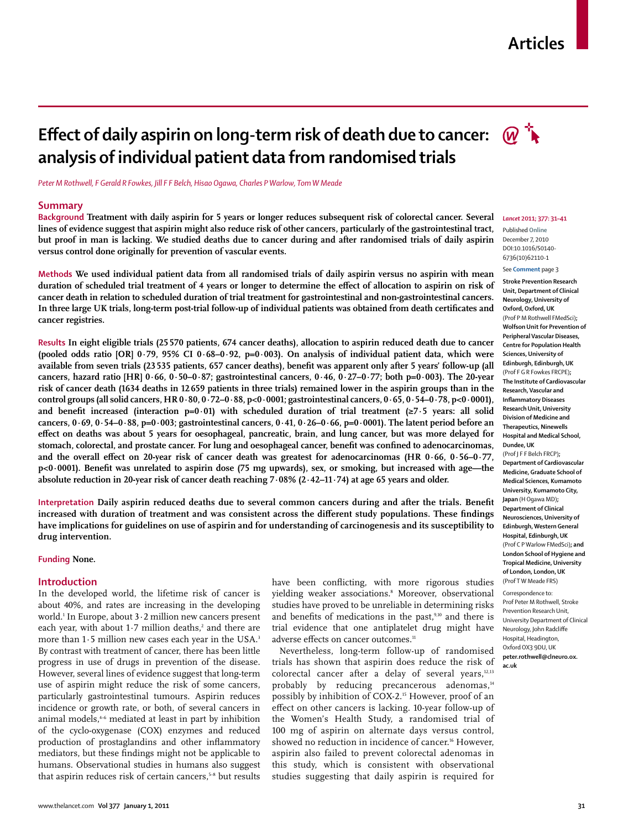# **Articles**

# Effect of daily aspirin on long-term risk of death due to cancer:  $\mathbb{Q}$  in **analysis of individual patient data from randomised trials**

*Peter M Rothwell, F Gerald R Fowkes, Jill F F Belch, Hisao Ogawa, Charles P Warlow, Tom W Meade*

#### **Summary**

**Background Treatment with daily aspirin for 5 years or longer reduces subsequent risk of colorectal cancer. Several lines of evidence suggest that aspirin might also reduce risk of other cancers, particularly of the gastrointestinal tract, but proof in man is lacking. We studied deaths due to cancer during and after randomised trials of daily aspirin versus control done originally for prevention of vascular events.**

**Methods We used individual patient data from all randomised trials of daily aspirin versus no aspirin with mean**  duration of scheduled trial treatment of 4 years or longer to determine the effect of allocation to aspirin on risk of **cancer death in relation to scheduled duration of trial treatment for gastrointestinal and non-gastrointestinal cancers.**  In three large UK trials, long-term post-trial follow-up of individual patients was obtained from death certificates and **cancer registries.**

**Results In eight eligible trials (25 570 patients, 674 cancer deaths), allocation to aspirin reduced death due to cancer (pooled odds ratio [OR] 0·79, 95% CI 0·68–0·92, p=0·003). On analysis of individual patient data, which were available from seven trials (23 535 patients, 657 cancer deaths), benefi t was apparent only after 5 years' follow-up (all cancers, hazard ratio [HR] 0·66, 0·50–0·87; gastrointestinal cancers, 0·46, 0·27–0·77; both p=0·003). The 20-year risk of cancer death (1634 deaths in 12 659 patients in three trials) remained lower in the aspirin groups than in the control groups (all solid cancers, HR 0·80, 0·72–0·88, p<0·0001; gastrointestinal cancers, 0·65, 0·54–0·78, p<0·0001),**  and benefit increased (interaction  $p=0.01$ ) with scheduled duration of trial treatment ( $\geq 7.5$  years: all solid **cancers, 0·69, 0·54–0·88, p=0·003; gastrointestinal cancers, 0·41, 0·26–0·66, p=0·0001). The latent period before an**  effect on deaths was about 5 years for oesophageal, pancreatic, brain, and lung cancer, but was more delayed for stomach, colorectal, and prostate cancer. For lung and oesophageal cancer, benefit was confined to adenocarcinomas, and the overall effect on 20-year risk of cancer death was greatest for adenocarcinomas (HR 0·66, 0·56–0·77, **p<0·0001). Benefi t was unrelated to aspirin dose (75 mg upwards), sex, or smoking, but increased with age—the absolute reduction in 20-year risk of cancer death reaching 7·08% (2·42–11·74) at age 65 years and older.**

Interpretation Daily aspirin reduced deaths due to several common cancers during and after the trials. Benefit increased with duration of treatment and was consistent across the different study populations. These findings **have implications for guidelines on use of aspirin and for understanding of carcinogenesis and its susceptibility to drug intervention.**

**Funding None.**

#### **Introduction**

In the developed world, the lifetime risk of cancer is about 40%, and rates are increasing in the developing world.1 In Europe, about 3·2 million new cancers present each year, with about 1 $\cdot$ 7 million deaths, $^2$  and there are more than 1.5 million new cases each year in the USA.<sup>3</sup> By contrast with treatment of cancer, there has been little progress in use of drugs in prevention of the disease. However, several lines of evidence suggest that long-term use of aspirin might reduce the risk of some cancers, particularly gastrointestinal tumours. Aspirin reduces incidence or growth rate, or both, of several cancers in animal models,<sup>46</sup> mediated at least in part by inhibition of the cyclo-oxygenase (COX) enzymes and reduced production of prostaglandins and other inflammatory mediators, but these findings might not be applicable to humans. Observational studies in humans also suggest that aspirin reduces risk of certain cancers,<sup>5-8</sup> but results

have been conflicting, with more rigorous studies yielding weaker associations.8 Moreover, observational studies have proved to be unreliable in determining risks and benefits of medications in the past, $9,10$  and there is trial evidence that one antiplatelet drug might have adverse effects on cancer outcomes.<sup>11</sup>

Nevertheless, long-term follow-up of randomised trials has shown that aspirin does reduce the risk of colorectal cancer after a delay of several years,<sup>12,13</sup> probably by reducing precancerous adenomas,<sup>14</sup> possibly by inhibition of COX-2.15 However, proof of an effect on other cancers is lacking. 10-year follow-up of the Women's Health Study, a randomised trial of 100 mg of aspirin on alternate days versus control, showed no reduction in incidence of cancer.<sup>16</sup> However, aspirin also failed to prevent colorectal adenomas in this study, which is consistent with observational studies suggesting that daily aspirin is required for



Published **Online** December 7, 2010 DOI:10.1016/S0140- 6736(10)62110-1

See **Comment** page 3 **Stroke Prevention Research Unit, Department of Clinical Neurology, University of Oxford, Oxford, UK** (Prof P M Rothwell FMedSci)**; Wolfson Unit for Prevention of Peripheral Vascular Diseases, Centre for Population Health Sciences, University of Edinburgh, Edinburgh, UK** (Prof F G R Fowkes FRCPE)**; The Institute of Cardiovascular Research, Vascular and Inflammatory Diseases Research Unit, University Division of Medicine and Therapeutics, Ninewells Hospital and Medical School, Dundee, UK** (Prof J F F Belch FRCP)**; Department of Cardiovascular Medicine, Graduate School of Medical Sciences, Kumamoto University, Kumamoto City, Japan** (H Ogawa MD)**; Department of Clinical Neurosciences, University of Edinburgh, Western General Hospital, Edinburgh, UK** (Prof C P Warlow FMedSci)**; and London School of Hygiene and Tropical Medicine, University of London, London, UK**  (Prof T W Meade FRS) Correspondence to: Prof Peter M Rothwell, Stroke Prevention Research Unit, University Department of Clinical

**peter.rothwell@clneuro.ox. ac.uk**

Neurology, John Radcliffe Hospital, Headington, Oxford OX3 9DU, UK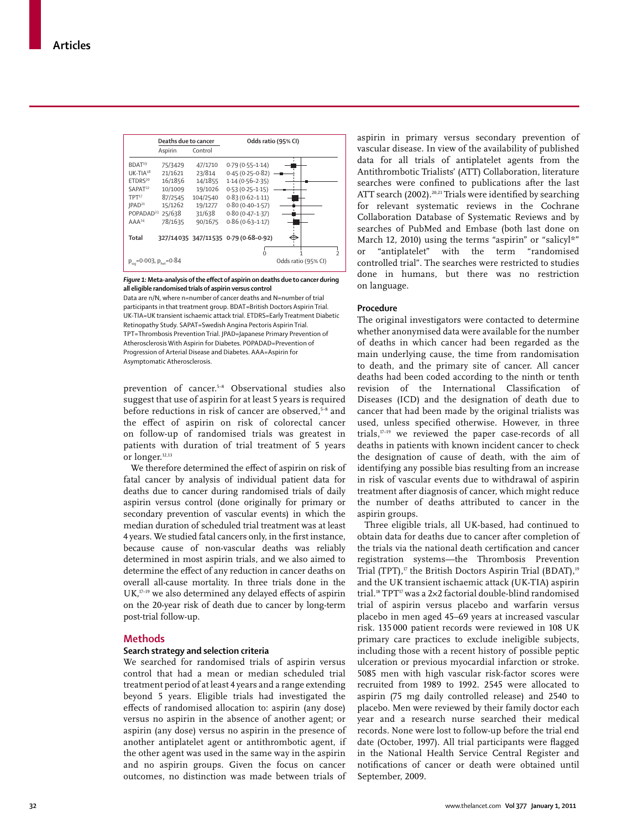|                                              | Deaths due to cancer |          | Odds ratio (95% CI)                  |                     |  |
|----------------------------------------------|----------------------|----------|--------------------------------------|---------------------|--|
|                                              | Aspirin              | Control  |                                      |                     |  |
| BDAT <sup>19</sup>                           | 75/3429              | 47/1710  | $0.79(0.55 - 1.14)$                  |                     |  |
| $UK-TIA18$                                   | 21/1621              | 23/814   | $0.45(0.25 - 0.82)$                  |                     |  |
| ETDRS <sup>20</sup>                          | 16/1856              | 14/1855  | $1.14(0.56 - 2.35)$                  |                     |  |
| SAPAT <sup>22</sup>                          | 10/1009              | 19/1026  | $0.53(0.25 - 1.15)$                  |                     |  |
| TPT <sup>17</sup>                            | 87/2545              | 104/2540 | $0.83(0.62 - 1.11)$                  |                     |  |
| IPAD <sup>21</sup>                           | 15/1262              | 19/1277  | $0.80(0.40 - 1.57)$                  |                     |  |
| POPADAD <sup>23</sup>                        | 25/638               | 31/638   | $0.80(0.47 - 1.37)$                  |                     |  |
| $AAA^{24}$                                   | 78/1635              | 90/1675  | $0.86(0.63 - 1.17)$                  |                     |  |
|                                              |                      |          |                                      |                     |  |
| Total                                        |                      |          | 327/14035 347/11535 0-79 (0-68-0-92) |                     |  |
|                                              |                      |          |                                      |                     |  |
| $p_{\rm sin} = 0.003$ , $p_{\rm hot} = 0.84$ |                      |          |                                      | Odds ratio (95% CI) |  |

Figure 1: Meta-analysis of the effect of aspirin on deaths due to cancer during **all eligible randomised trials of aspirin versus control**

Data are n/N, where n=number of cancer deaths and N=number of trial participants in that treatment group. BDAT=British Doctors Aspirin Trial. UK-TIA=UK transient ischaemic attack trial. ETDRS=Early Treatment Diabetic Retinopathy Study. SAPAT=Swedish Angina Pectoris Aspirin Trial. TPT=Thrombosis Prevention Trial. JPAD=Japanese Primary Prevention of Atherosclerosis With Aspirin for Diabetes. POPADAD=Prevention of Progression of Arterial Disease and Diabetes. AAA=Aspirin for Asymptomatic Atherosclerosis.

prevention of cancer.<sup>5-8</sup> Observational studies also suggest that use of aspirin for at least 5 years is required before reductions in risk of cancer are observed,<sup>5-8</sup> and the effect of aspirin on risk of colorectal cancer on follow-up of randomised trials was greatest in patients with duration of trial treatment of 5 years or longer.<sup>12,13</sup>

We therefore determined the effect of aspirin on risk of fatal cancer by analysis of individual patient data for deaths due to cancer during randomised trials of daily aspirin versus control (done originally for primary or secondary prevention of vascular events) in which the median duration of scheduled trial treatment was at least 4 years. We studied fatal cancers only, in the first instance, because cause of non-vascular deaths was reliably determined in most aspirin trials, and we also aimed to determine the effect of any reduction in cancer deaths on overall all-cause mortality. In three trials done in the UK, $17-19$  we also determined any delayed effects of aspirin on the 20-year risk of death due to cancer by long-term post-trial follow-up.

# **Methods**

## **Search strategy and selection criteria**

We searched for randomised trials of aspirin versus control that had a mean or median scheduled trial treatment period of at least 4 years and a range extending beyond 5 years. Eligible trials had investigated the effects of randomised allocation to: aspirin (any dose) versus no aspirin in the absence of another agent; or aspirin (any dose) versus no aspirin in the presence of another antiplatelet agent or antithrombotic agent, if the other agent was used in the same way in the aspirin and no aspirin groups. Given the focus on cancer outcomes, no distinction was made between trials of aspirin in primary versus secondary prevention of vascular disease. In view of the availability of published data for all trials of antiplatelet agents from the Antithrombotic Trialists' (ATT) Collaboration, literature searches were confined to publications after the last ATT search (2002).<sup>20,21</sup> Trials were identified by searching for relevant systematic reviews in the Cochrane Collaboration Database of Systematic Reviews and by searches of PubMed and Embase (both last done on March 12, 2010) using the terms "aspirin" or "salicyl\*" or "antiplatelet" with the term "randomised controlled trial". The searches were restricted to studies done in humans, but there was no restriction on language.

#### **Procedure**

The original investigators were contacted to determine whether anonymised data were available for the number of deaths in which cancer had been regarded as the main underlying cause, the time from randomisation to death, and the primary site of cancer. All cancer deaths had been coded according to the ninth or tenth revision of the International Classification of Diseases (ICD) and the designation of death due to cancer that had been made by the original trialists was used, unless specified otherwise. However, in three trials,17–19 we reviewed the paper case-records of all deaths in patients with known incident cancer to check the designation of cause of death, with the aim of identifying any possible bias resulting from an increase in risk of vascular events due to withdrawal of aspirin treatment after diagnosis of cancer, which might reduce the number of deaths attributed to cancer in the aspirin groups.

Three eligible trials, all UK-based, had continued to obtain data for deaths due to cancer after completion of the trials via the national death certification and cancer registration systems—the Thrombosis Prevention Trial (TPT),<sup>17</sup> the British Doctors Aspirin Trial (BDAT),<sup>19</sup> and the UK transient ischaemic attack (UK-TIA) aspirin trial.<sup>18</sup> TPT<sup>17</sup> was a 2×2 factorial double-blind randomised trial of aspirin versus placebo and warfarin versus placebo in men aged 45–69 years at increased vascular risk. 135 000 patient records were reviewed in 108 UK primary care practices to exclude ineligible subjects, including those with a recent history of possible peptic ulceration or previous myocardial infarction or stroke. 5085 men with high vascular risk-factor scores were recruited from 1989 to 1992. 2545 were allocated to aspirin (75 mg daily controlled release) and 2540 to placebo. Men were reviewed by their family doctor each year and a research nurse searched their medical records. None were lost to follow-up before the trial end date (October, 1997). All trial participants were flagged in the National Health Service Central Register and notifications of cancer or death were obtained until September, 2009.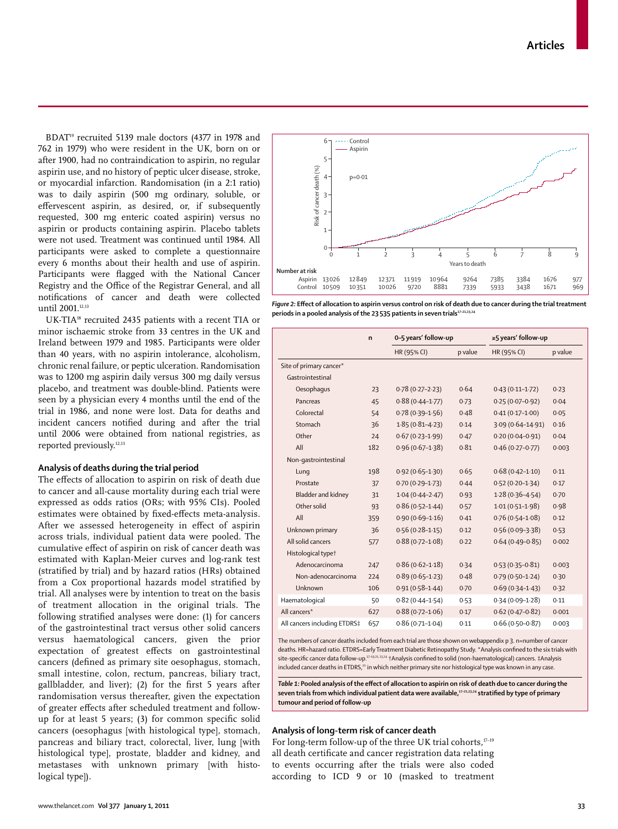BDAT19 recruited 5139 male doctors (4377 in 1978 and 762 in 1979) who were resident in the UK, born on or after 1900, had no contraindication to aspirin, no regular aspirin use, and no history of peptic ulcer disease, stroke, or myocardial infarction. Randomisation (in a 2:1 ratio) was to daily aspirin (500 mg ordinary, soluble, or effervescent aspirin, as desired, or, if subsequently requested, 300 mg enteric coated aspirin) versus no aspirin or products containing aspirin. Placebo tablets were not used. Treatment was continued until 1984. All participants were asked to complete a questionnaire every 6 months about their health and use of aspirin. Participants were flagged with the National Cancer Registry and the Office of the Registrar General, and all notifications of cancer and death were collected until 2001.<sup>12,13</sup>

UK-TIA<sup>18</sup> recruited 2435 patients with a recent TIA or minor ischaemic stroke from 33 centres in the UK and Ireland between 1979 and 1985. Participants were older than 40 years, with no aspirin intolerance, alcoholism, chronic renal failure, or peptic ulceration. Randomisation was to 1200 mg aspirin daily versus 300 mg daily versus placebo, and treatment was double-blind. Patients were seen by a physician every 4 months until the end of the trial in 1986, and none were lost. Data for deaths and incident cancers notified during and after the trial until 2006 were obtained from national registries, as reported previously.12,13

#### **Analysis of deaths during the trial period**

The effects of allocation to aspirin on risk of death due to cancer and all-cause mortality during each trial were expressed as odds ratios (ORs; with 95% CIs). Pooled estimates were obtained by fixed-effects meta-analysis. After we assessed heterogeneity in effect of aspirin across trials, individual patient data were pooled. The cumulative effect of aspirin on risk of cancer death was estimated with Kaplan-Meier curves and log-rank test (stratified by trial) and by hazard ratios (HRs) obtained from a Cox proportional hazards model stratified by trial. All analyses were by intention to treat on the basis of treatment allocation in the original trials. The following stratified analyses were done: (1) for cancers of the gastrointestinal tract versus other solid cancers versus haematological cancers, given the prior expectation of greatest effects on gastrointestinal cancers (defined as primary site oesophagus, stomach, small intestine, colon, rectum, pancreas, biliary tract, gallbladder, and liver); (2) for the first 5 years after randomisation versus thereafter, given the expectation of greater effects after scheduled treatment and followup for at least 5 years; (3) for common specific solid cancers (oesophagus [with histological type], stomach, pancreas and biliary tract, colorectal, liver, lung [with histological type], prostate, bladder and kidney, and metastases with unknown primary [with histological type]).



*Figure 2:* **Eff ect of allocation to aspirin versus control on risk of death due to cancer during the trial treatment**  periods in a pooled analysis of the 23 535 patients in seven trials<sup>17-21,23,24</sup>

|                                | $\mathsf{n}$ | 0-5 years' follow-up |         | ≥5 years' follow-up  |         |  |
|--------------------------------|--------------|----------------------|---------|----------------------|---------|--|
|                                |              | HR (95% CI)          | p value | HR (95% CI)          | p value |  |
| Site of primary cancer*        |              |                      |         |                      |         |  |
| Gastrointestinal               |              |                      |         |                      |         |  |
| Oesophaqus                     | 23           | $0.78(0.27 - 2.23)$  | 0.64    | $0.43(0.11 - 1.72)$  | 0.23    |  |
| Pancreas                       | 45           | $0.88(0.44 - 1.77)$  | 0.73    | $0.25(0.07-0.92)$    | 0.04    |  |
| Colorectal                     | 54           | $0.78(0.39 - 1.56)$  | 0.48    | $0.41(0.17 - 1.00)$  | 0.05    |  |
| Stomach                        | 36           | $1.85(0.81 - 4.23)$  | 0.14    | $3.09(0.64 - 14.91)$ | 0.16    |  |
| Other                          | 24           | $0.67(0.23 - 1.99)$  | 0.47    | $0.20(0.04 - 0.91)$  | 0.04    |  |
| All                            | 182          | $0.96(0.67-1.38)$    | 0.81    | $0.46(0.27 - 0.77)$  | 0.003   |  |
| Non-gastrointestinal           |              |                      |         |                      |         |  |
| Lung                           | 198          | $0.92(0.65 - 1.30)$  | 0.65    | $0.68(0.42 - 1.10)$  | 0.11    |  |
| Prostate                       | 37           | $0.70(0.29 - 1.73)$  | 0.44    | $0.52(0.20-1.34)$    | 0.17    |  |
| <b>Bladder and kidney</b>      | 31           | $1.04(0.44 - 2.47)$  | 0.93    | $1.28(0.36 - 4.54)$  | 0.70    |  |
| Other solid                    | 93           | $0.86(0.52 - 1.44)$  | 0.57    | $1.01(0.51 - 1.98)$  | 0.98    |  |
| All                            | 359          | $0.90(0.69 - 1.16)$  | 0.41    | $0.76(0.54 - 1.08)$  | 0.12    |  |
| Unknown primary                | 36           | $0.56(0.28 - 1.15)$  | 0.12    | $0.56(0.09 - 3.38)$  | 0.53    |  |
| All solid cancers              | 577          | $0.88(0.72 - 1.08)$  | 0.22    | $0.64(0.49 - 0.85)$  | 0.002   |  |
| Histological type <sup>+</sup> |              |                      |         |                      |         |  |
| Adenocarcinoma                 | 247          | $0.86(0.62 - 1.18)$  | 0.34    | $0.53(0.35 - 0.81)$  | 0.003   |  |
| Non-adenocarcinoma             | 224          | $0.89(0.65 - 1.23)$  | 0.48    | $0.79(0.50-1.24)$    | 0.30    |  |
| Unknown                        | 106          | $0.91(0.58 - 1.44)$  | 0.70    | $0.69(0.34-1.43)$    | 0.32    |  |
| Haematological                 | 50           | $0.82(0.44 - 1.54)$  | 0.53    | $0.34(0.09 - 1.28)$  | 0.11    |  |
| All cancers*                   | 627          | $0.88(0.72 - 1.06)$  | 0.17    | $0.62(0.47 - 0.82)$  | 0.001   |  |
| All cancers including ETDRS‡   | 657          | $0.86(0.71 - 1.04)$  | 0.11    | $0.66(0.50-0.87)$    | 0.003   |  |
|                                |              |                      |         |                      |         |  |

The numbers of cancer deaths included from each trial are those shown on webappendix p 3. n=number of cancer deaths. HR=hazard ratio. ETDRS=Early Treatment Diabetic Retinopathy Study. \*Analysis confined to the six trials with site-specific cancer data follow-up.<sup>17-19,21, 23,24</sup> †Analysis confined to solid (non-haematological) cancers. ‡Analysis included cancer deaths in ETDRS,<sup>20</sup> in which neither primary site nor histological type was known in any case.

Table 1: Pooled analysis of the effect of allocation to aspirin on risk of death due to cancer during the seven trials from which individual patient data were available,<sup>17-21,23,24</sup> stratified by type of primary **tumour and period of follow-up**

## **Analysis of long-term risk of cancer death**

For long-term follow-up of the three UK trial cohorts,  $17-19$ all death certificate and cancer registration data relating to events occurring after the trials were also coded according to ICD 9 or 10 (masked to treatment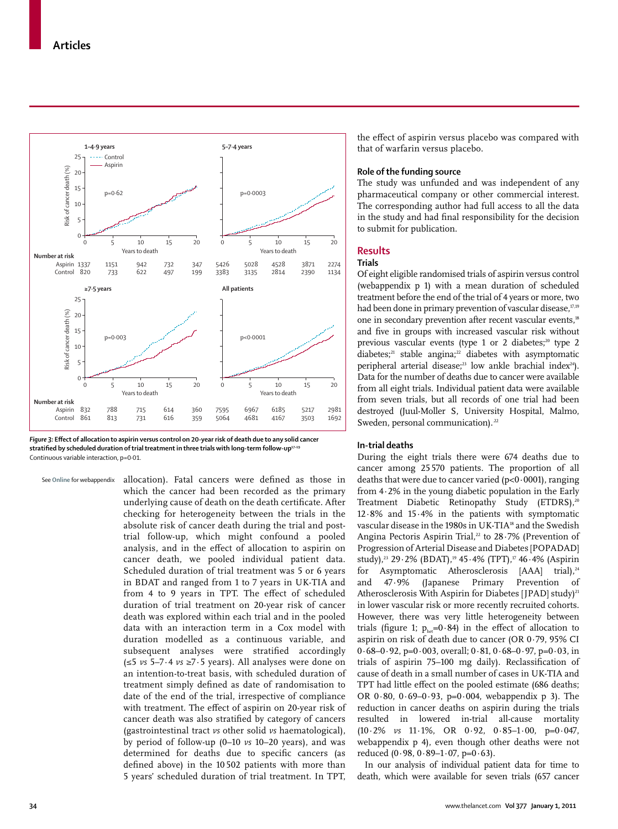

Figure 3: Effect of allocation to aspirin versus control on 20-year risk of death due to any solid cancer stratified by scheduled duration of trial treatment in three trials with long-term follow-up<sup>17</sup> Continuous variable interaction, p=0·01.

allocation). Fatal cancers were defined as those in which the cancer had been recorded as the primary underlying cause of death on the death certificate. After checking for heterogeneity between the trials in the absolute risk of cancer death during the trial and posttrial follow-up, which might confound a pooled analysis, and in the effect of allocation to aspirin on cancer death, we pooled individual patient data. Scheduled duration of trial treatment was 5 or 6 years in BDAT and ranged from 1 to 7 years in UK-TIA and from 4 to 9 years in TPT. The effect of scheduled duration of trial treatment on 20-year risk of cancer death was explored within each trial and in the pooled data with an interaction term in a Cox model with duration modelled as a continuous variable, and subsequent analyses were stratified accordingly (≤5 *vs* 5–7·4 *vs* ≥7·5 years). All analyses were done on an intention-to-treat basis, with scheduled duration of treatment simply defined as date of randomisation to date of the end of the trial, irrespective of compliance with treatment. The effect of aspirin on 20-year risk of cancer death was also stratified by category of cancers (gastrointestinal tract *vs* other solid *vs* haematological), by period of follow-up (0–10 *vs* 10–20 years), and was determined for deaths due to specific cancers (as defined above) in the 10502 patients with more than 5 years' scheduled duration of trial treatment. In TPT, See **Online** for webappendix

the effect of aspirin versus placebo was compared with that of warfarin versus placebo.

# **Role of the funding source**

The study was unfunded and was independent of any pharmaceutical company or other commercial interest. The corresponding author had full access to all the data in the study and had final responsibility for the decision to submit for publication.

## **Results**

# **Trials**

Of eight eligible randomised trials of aspirin versus control (webappendix p 1) with a mean duration of scheduled treatment before the end of the trial of 4 years or more, two had been done in primary prevention of vascular disease,<sup>17,19</sup> one in secondary prevention after recent vascular events,<sup>18</sup> and five in groups with increased vascular risk without previous vascular events (type 1 or 2 diabetes; $20$  type 2 diabetes;<sup>21</sup> stable angina;<sup>22</sup> diabetes with asymptomatic peripheral arterial disease;<sup>23</sup> low ankle brachial index<sup>24</sup>). Data for the number of deaths due to cancer were available from all eight trials. Individual patient data were available from seven trials, but all records of one trial had been destroyed (Juul-Moller S, University Hospital, Malmo, Sweden, personal communication).<sup>22</sup>

#### **In-trial deaths**

During the eight trials there were 674 deaths due to cancer among 25 570 patients. The proportion of all deaths that were due to cancer varied ( $p < 0.0001$ ), ranging from 4·2% in the young diabetic population in the Early Treatment Diabetic Retinopathy Study (ETDRS),<sup>20</sup> 12·8% and 15·4% in the patients with symptomatic vascular disease in the 1980s in UK-TIA<sup>18</sup> and the Swedish Angina Pectoris Aspirin Trial,<sup>22</sup> to  $28.7\%$  (Prevention of Progression of Arterial Disease and Diabetes [POPADAD] study),<sup>23</sup> 29 · 2% (BDAT),<sup>19</sup> 45 · 4% (TPT),<sup>17</sup> 46 · 4% (Aspirin for Asymptomatic Atherosclerosis [AAA] trial),<sup>24</sup><br>and 47.9% (Japanese Primary Prevention of and 47·9% (Japanese Primary Prevention of Atherosclerosis With Aspirin for Diabetes [JPAD] study)<sup>21</sup> in lower vascular risk or more recently recruited cohorts. However, there was very little heterogeneity between trials (figure 1;  $p_{\text{hot}} = 0.84$ ) in the effect of allocation to aspirin on risk of death due to cancer (OR 0·79, 95% CI  $0.68-0.92$ , p=0.003, overall;  $0.81$ ,  $0.68-0.97$ , p=0.03, in trials of aspirin 75–100 mg daily). Reclassification of cause of death in a small number of cases in UK-TIA and TPT had little effect on the pooled estimate (686 deaths; OR  $0.80, 0.69 - 0.93, p = 0.004$ , webappendix p 3). The reduction in cancer deaths on aspirin during the trials resulted in lowered in-trial all-cause mortality (10·2% *vs* 11·1%, OR 0·92, 0·85–1·00, p=0·047, webappendix p 4), even though other deaths were not reduced  $(0.98, 0.89 - 1.07, p=0.63)$ .

In our analysis of individual patient data for time to death, which were available for seven trials (657 cancer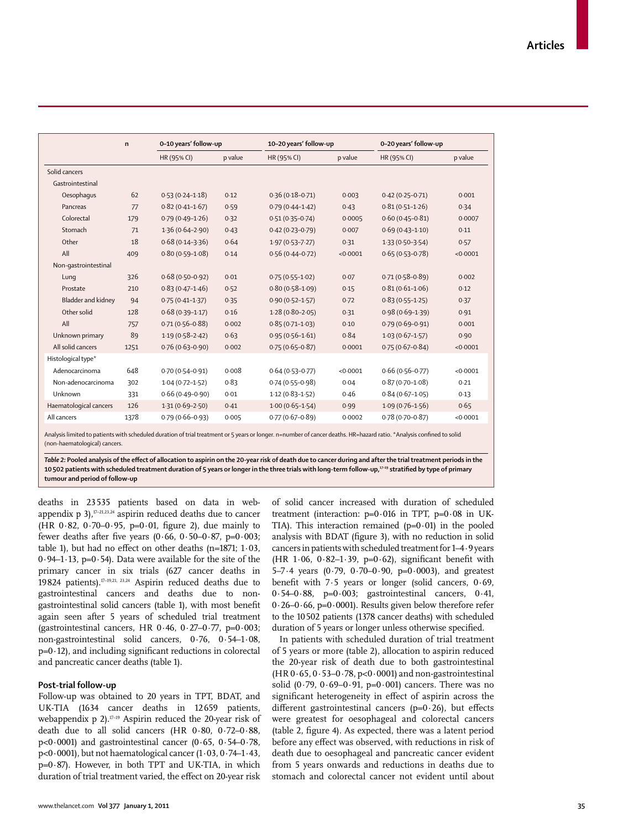|                           | n    | 0-10 years' follow-up |         | 10-20 years' follow-up |          | 0-20 years' follow-up |          |
|---------------------------|------|-----------------------|---------|------------------------|----------|-----------------------|----------|
|                           |      | HR (95% CI)           | p value | HR (95% CI)            | p value  | HR (95% CI)           | p value  |
| Solid cancers             |      |                       |         |                        |          |                       |          |
| Gastrointestinal          |      |                       |         |                        |          |                       |          |
| Oesophagus                | 62   | $0.53(0.24 - 1.18)$   | 0.12    | $0.36(0.18 - 0.71)$    | 0.003    | $0.42(0.25 - 0.71)$   | 0.001    |
| Pancreas                  | 77   | $0.82(0.41 - 1.67)$   | 0.59    | $0.79(0.44 - 1.42)$    | 0.43     | $0.81(0.51 - 1.26)$   | 0.34     |
| Colorectal                | 179  | $0.79(0.49-1.26)$     | 0.32    | $0.51(0.35 - 0.74)$    | 0.0005   | $0.60(0.45 - 0.81)$   | 0.0007   |
| Stomach                   | 71   | $1.36(0.64 - 2.90)$   | 0.43    | $0.42(0.23 - 0.79)$    | 0.007    | $0.69(0.43 - 1.10)$   | 0.11     |
| Other                     | 18   | $0.68(0.14-3.36)$     | 0.64    | $1.97(0.53 - 7.27)$    | 0.31     | $1.33(0.50-3.54)$     | 0.57     |
| All                       | 409  | $0.80(0.59-1.08)$     | 0.14    | $0.56(0.44 - 0.72)$    | < 0.0001 | $0.65(0.53 - 0.78)$   | < 0.0001 |
| Non-gastrointestinal      |      |                       |         |                        |          |                       |          |
| Lung                      | 326  | $0.68(0.50-0.92)$     | 0.01    | $0.75(0.55-1.02)$      | 0.07     | $0.71(0.58 - 0.89)$   | 0.002    |
| Prostate                  | 210  | $0.83(0.47 - 1.46)$   | 0.52    | $0.80(0.58 - 1.09)$    | 0.15     | $0.81(0.61 - 1.06)$   | 0.12     |
| <b>Bladder and kidney</b> | 94   | $0.75(0.41 - 1.37)$   | 0.35    | $0.90(0.52 - 1.57)$    | 0.72     | $0.83(0.55 - 1.25)$   | 0.37     |
| Other solid               | 128  | $0.68(0.39 - 1.17)$   | 0.16    | $1.28(0.80 - 2.05)$    | 0.31     | $0.98(0.69 - 1.39)$   | 0.91     |
| All                       | 757  | $0.71(0.56 - 0.88)$   | 0.002   | $0.85(0.71 - 1.03)$    | 0.10     | $0.79(0.69 - 0.91)$   | 0.001    |
| Unknown primary           | 89   | $1.19(0.58-2.42)$     | 0.63    | $0.95(0.56 - 1.61)$    | 0.84     | $1.03(0.67 - 1.57)$   | 0.90     |
| All solid cancers         | 1251 | $0.76(0.63 - 0.90)$   | 0.002   | $0.75(0.65 - 0.87)$    | 0.0001   | $0.75(0.67 - 0.84)$   | < 0.0001 |
| Histological type*        |      |                       |         |                        |          |                       |          |
| Adenocarcinoma            | 648  | $0.70(0.54 - 0.91)$   | 0.008   | $0.64(0.53 - 0.77)$    | < 0.0001 | $0.66(0.56 - 0.77)$   | < 0.0001 |
| Non-adenocarcinoma        | 302  | $1.04(0.72 - 1.52)$   | 0.83    | $0.74(0.55 - 0.98)$    | 0.04     | $0.87(0.70 - 1.08)$   | 0.21     |
| Unknown                   | 331  | $0.66(0.49 - 0.90)$   | 0.01    | $1.12(0.83 - 1.52)$    | 0.46     | $0.84(0.67 - 1.05)$   | 0.13     |
| Haematological cancers    | 126  | $1.31(0.69 - 2.50)$   | 0.41    | $1.00(0.65 - 1.54)$    | 0.99     | $1.09(0.76 - 1.56)$   | 0.65     |
| All cancers               | 1378 | $0.79(0.66 - 0.93)$   | 0.005   | $0.77(0.67 - 0.89)$    | 0.0002   | $0.78(0.70 - 0.87)$   | < 0.0001 |

Analysis limited to patients with scheduled duration of trial treatment or 5 years or longer. n=number of cancer deaths. HR=hazard ratio. \*Analysis confi ned to solid (non-haematological) cancers.

Table 2: Pooled analysis of the effect of allocation to aspirin on the 20-year risk of death due to cancer during and after the trial treatment periods in the 10 502 patients with scheduled treatment duration of 5 years or longer in the three trials with long-term follow-up,<sup>17-19</sup> stratified by type of primary **tumour and period of follow-up**

deaths in 23 535 patients based on data in webappendix p 3), $17-21,23,24$  aspirin reduced deaths due to cancer (HR  $0.82$ ,  $0.70-0.95$ ,  $p=0.01$ , figure 2), due mainly to fewer deaths after five years  $(0.66, 0.50-0.87, p=0.003;$ table 1), but had no effect on other deaths (n=1871;  $1.03$ ,  $0.94-1.13$ , p= $0.54$ ). Data were available for the site of the primary cancer in six trials (627 cancer deaths in 19 824 patients).17–19,21, 23,24 Aspirin reduced deaths due to gastrointestinal cancers and deaths due to nongastrointestinal solid cancers (table 1), with most benefit again seen after 5 years of scheduled trial treatment (gastrointestinal cancers, HR  $0.46$ ,  $0.27-0.77$ , p= $0.003$ ; non-gastrointestinal solid cancers, 0·76, 0·54–1·08,  $p=0.12$ ), and including significant reductions in colorectal and pancreatic cancer deaths (table 1).

# **Post-trial follow-up**

Follow-up was obtained to 20 years in TPT, BDAT, and UK-TIA (1634 cancer deaths in 12 659 patients, webappendix p 2).<sup>17-19</sup> Aspirin reduced the 20-year risk of death due to all solid cancers (HR 0·80, 0·72–0·88, p<0 $\cdot$ 0001) and gastrointestinal cancer (0 $\cdot$ 65, 0 $\cdot$ 54-0 $\cdot$ 78, p<0·0001), but not haematological cancer (1·03, 0·74–1·43,  $p=0.87$ ). However, in both TPT and UK-TIA, in which duration of trial treatment varied, the effect on 20-year risk of solid cancer increased with duration of scheduled treatment (interaction:  $p=0.016$  in TPT,  $p=0.08$  in UK-TIA). This interaction remained  $(p=0.01)$  in the pooled analysis with BDAT (figure 3), with no reduction in solid cancers in patients with scheduled treatment for 1–4·9 years (HR 1 $\cdot$ 06, 0 $\cdot$ 82-1 $\cdot$ 39, p=0 $\cdot$ 62), significant benefit with 5–7 $-4$  years (0 $-79$ , 0 $-70$ –0 $-90$ , p=0 $-0.0003$ ), and greatest benefit with  $7·5$  years or longer (solid cancers,  $0·69$ , 0·54–0·88, p=0·003; gastrointestinal cancers, 0·41, 0·26–0·66, p=0·0001). Results given below therefore refer to the 10 502 patients (1378 cancer deaths) with scheduled duration of 5 years or longer unless otherwise specified.

In patients with scheduled duration of trial treatment of 5 years or more (table 2), allocation to aspirin reduced the 20-year risk of death due to both gastrointestinal (HR 0·65, 0·53–0·78, p<0·0001) and non-gastrointestinal solid (0.79, 0.69–0.91, p=0.001) cancers. There was no significant heterogeneity in effect of aspirin across the different gastrointestinal cancers ( $p=0.26$ ), but effects were greatest for oesophageal and colorectal cancers (table 2, figure 4). As expected, there was a latent period before any effect was observed, with reductions in risk of death due to oesophageal and pancreatic cancer evident from 5 years onwards and reductions in deaths due to stomach and colorectal cancer not evident until about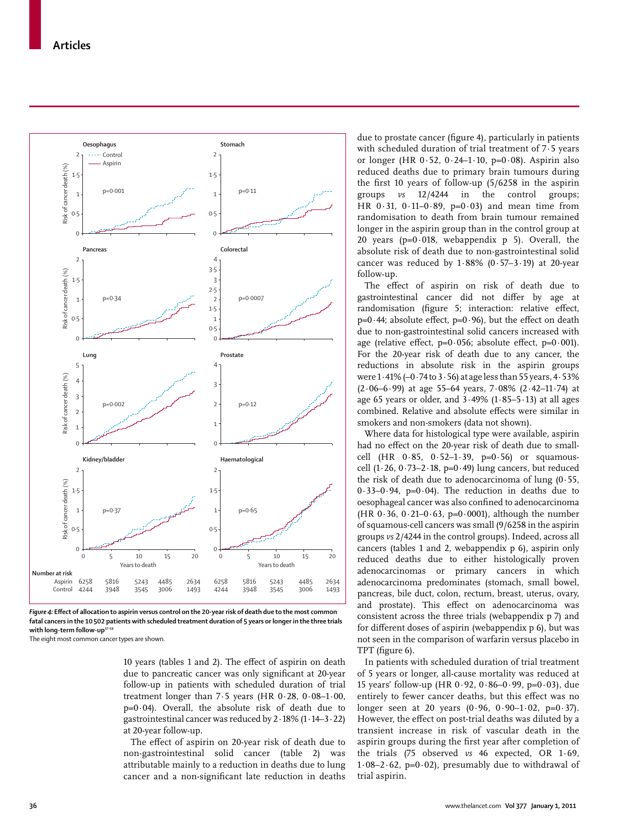

Figure 4: Effect of allocation to aspirin versus control on the 20-year risk of death due to the most common **fatal cancers in the 10 502 patients with scheduled treatment duration of 5 years or longer in the three trials**  with long-term follow-up

The eight most common cancer types are shown.

10 years (tables 1 and 2). The effect of aspirin on death due to pancreatic cancer was only significant at 20-year follow-up in patients with scheduled duration of trial treatment longer than  $7.5$  years (HR  $0.28$ ,  $0.08-1.00$ , p=0·04). Overall, the absolute risk of death due to gastrointestinal cancer was reduced by 2·18% (1·14–3·22) at 20-year follow-up.

The effect of aspirin on 20-year risk of death due to non-gastrointestinal solid cancer (table 2) was attributable mainly to a reduction in deaths due to lung cancer and a non-significant late reduction in deaths due to prostate cancer (figure 4), particularly in patients with scheduled duration of trial treatment of 7·5 years or longer (HR  $0.52$ ,  $0.24-1.10$ ,  $p=0.08$ ). Aspirin also reduced deaths due to primary brain tumours during the first 10 years of follow-up  $(5/6258)$  in the aspiring<br>roups vs  $12/4244$  in the control groups; groups *vs* 12/4244 in the control HR  $0.31$ ,  $0.11-0.89$ ,  $p=0.03$ ) and mean time from randomisation to death from brain tumour remained longer in the aspirin group than in the control group at 20 years ( $p=0.018$ , webappendix  $p=5$ ). Overall, the absolute risk of death due to non-gastrointestinal solid cancer was reduced by  $1.88\%$  (0.57-3.19) at 20-year follow-up.

The effect of aspirin on risk of death due to gastrointestinal cancer did not differ by age at randomisation (figure 5; interaction: relative effect,  $p=0.44$ ; absolute effect,  $p=0.96$ ), but the effect on death due to non-gastrointestinal solid cancers increased with age (relative effect,  $p=0.056$ ; absolute effect,  $p=0.001$ ). For the 20-year risk of death due to any cancer, the reductions in absolute risk in the aspirin groups were  $1.41\%$  (-0 $.74$  to  $3.56$ ) at age less than 55 years,  $4.53\%$ (2·06–6·99) at age 55–64 years, 7·08% (2·42–11·74) at age 65 years or older, and  $3.49\%$  ( $1.85-5.13$ ) at all ages combined. Relative and absolute effects were similar in smokers and non-smokers (data not shown).

Where data for histological type were available, aspirin had no effect on the 20-year risk of death due to smallcell (HR  $0.85$ ,  $0.52-1.39$ ,  $p=0.56$ ) or squamouscell (1 $\cdot$ 26, 0 $\cdot$ 73-2 $\cdot$ 18, p=0 $\cdot$ 49) lung cancers, but reduced the risk of death due to adenocarcinoma of lung  $(0.55,$  $0.33-0.94$ , p=0.04). The reduction in deaths due to oesophageal cancer was also confined to adenocarcinoma (HR  $0.36, 0.21-0.63, p=0.0001$ ), although the number of squamous-cell cancers was small (9/6258 in the aspirin groups *vs* 2/4244 in the control groups). Indeed, across all cancers (tables 1 and 2, webappendix p 6), aspirin only reduced deaths due to either histologically proven adenocarcinomas or primary cancers in which adenocarcinoma predominates (stomach, small bowel, pancreas, bile duct, colon, rectum, breast, uterus, ovary, and prostate). This effect on adenocarcinoma was consistent across the three trials (webappendix p 7) and for different doses of aspirin (webappendix p 6), but was not seen in the comparison of warfarin versus placebo in TPT (figure 6).

In patients with scheduled duration of trial treatment of 5 years or longer, all-cause mortality was reduced at 15 years' follow-up (HR 0·92, 0·86–0·99, p=0·03), due entirely to fewer cancer deaths, but this effect was no longer seen at 20 years  $(0.96, 0.90-1.02, p=0.37)$ . However, the effect on post-trial deaths was diluted by a transient increase in risk of vascular death in the aspirin groups during the first year after completion of the trials (75 observed *vs* 46 expected, OR 1·69, 1·08–2·62, p=0·02), presumably due to withdrawal of trial aspirin.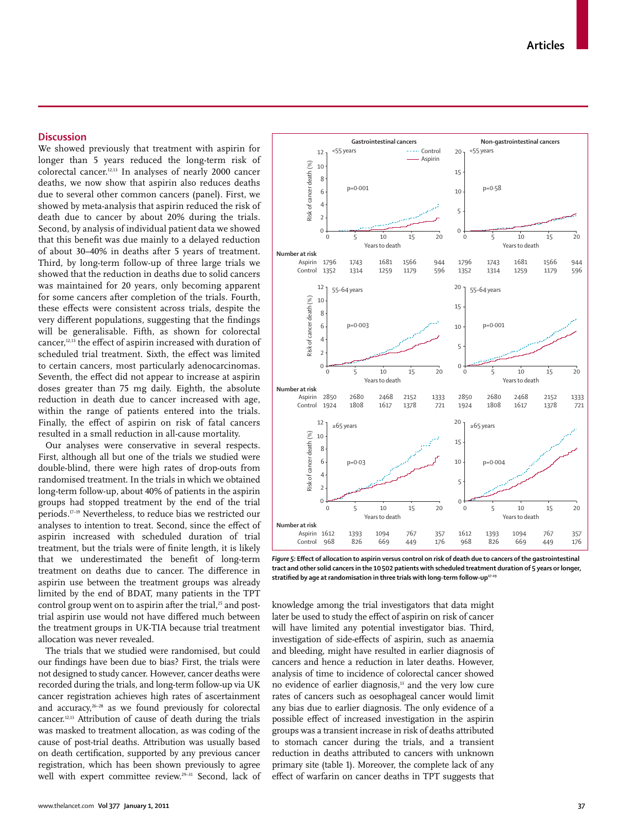# **Discussion**

We showed previously that treatment with aspirin for longer than 5 years reduced the long-term risk of colorectal cancer.12,13 In analyses of nearly 2000 cancer deaths, we now show that aspirin also reduces deaths due to several other common cancers (panel). First, we showed by meta-analysis that aspirin reduced the risk of death due to cancer by about 20% during the trials. Second, by analysis of individual patient data we showed that this benefit was due mainly to a delayed reduction of about 30–40% in deaths after 5 years of treatment. Third, by long-term follow-up of three large trials we showed that the reduction in deaths due to solid cancers was maintained for 20 years, only becoming apparent for some cancers after completion of the trials. Fourth, these effects were consistent across trials, despite the very different populations, suggesting that the findings will be generalisable. Fifth, as shown for colorectal cancer,<sup>12,13</sup> the effect of aspirin increased with duration of scheduled trial treatment. Sixth, the effect was limited to certain cancers, most particularly adenocarcinomas. Seventh, the effect did not appear to increase at aspirin doses greater than 75 mg daily. Eighth, the absolute reduction in death due to cancer increased with age, within the range of patients entered into the trials. Finally, the effect of aspirin on risk of fatal cancers resulted in a small reduction in all-cause mortality.

Our analyses were conservative in several respects. First, although all but one of the trials we studied were double-blind, there were high rates of drop-outs from randomised treatment. In the trials in which we obtained long-term follow-up, about 40% of patients in the aspirin groups had stopped treatment by the end of the trial periods.17–19 Nevertheless, to reduce bias we restricted our analyses to intention to treat. Second, since the effect of aspirin increased with scheduled duration of trial treatment, but the trials were of finite length, it is likely that we underestimated the benefit of long-term treatment on deaths due to cancer. The difference in aspirin use between the treatment groups was already limited by the end of BDAT, many patients in the TPT control group went on to aspirin after the trial, $25$  and posttrial aspirin use would not have differed much between the treatment groups in UK-TIA because trial treatment allocation was never revealed.

The trials that we studied were randomised, but could our findings have been due to bias? First, the trials were not designed to study cancer. However, cancer deaths were recorded during the trials, and long-term follow-up via UK cancer registration achieves high rates of ascertainment and accuracy,<sup>26-28</sup> as we found previously for colorectal cancer.12,13 Attribution of cause of death during the trials was masked to treatment allocation, as was coding of the cause of post-trial deaths. Attribution was usually based on death certification, supported by any previous cancer registration, which has been shown previously to agree well with expert committee review.<sup>29-31</sup> Second, lack of



*Figure 5:* Effect of allocation to aspirin versus control on risk of death due to cancers of the gastrointestinal **tract and other solid cancers in the 10 502 patients with scheduled treatment duration of 5 years or longer,**  stratified by age at randomisation in three trials with long-term follow-up<sup>17-19</sup>

knowledge among the trial investigators that data might later be used to study the effect of aspirin on risk of cancer will have limited any potential investigator bias. Third, investigation of side-effects of aspirin, such as anaemia and bleeding, might have resulted in earlier diagnosis of cancers and hence a reduction in later deaths. However, analysis of time to incidence of colorectal cancer showed no evidence of earlier diagnosis,13 and the very low cure rates of cancers such as oesophageal cancer would limit any bias due to earlier diagnosis. The only evidence of a possible effect of increased investigation in the aspirin groups was a transient increase in risk of deaths attributed to stomach cancer during the trials, and a transient reduction in deaths attributed to cancers with unknown primary site (table 1). Moreover, the complete lack of any effect of warfarin on cancer deaths in TPT suggests that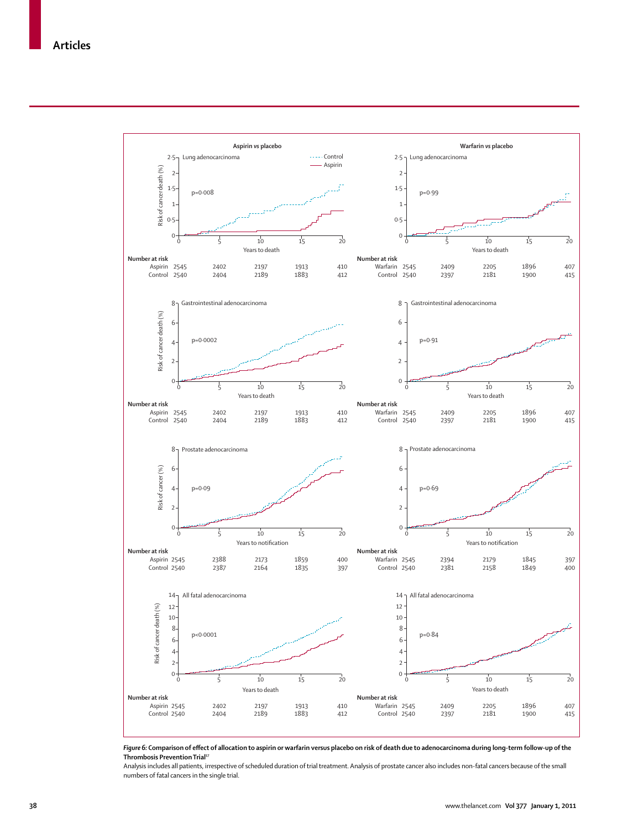

Figure 6: Comparison of effect of allocation to aspirin or warfarin versus placebo on risk of death due to adenocarcinoma during long-term follow-up of the **Thrombosis Prevention Trial**<sup>17</sup>

Analysis includes all patients, irrespective of scheduled duration of trial treatment. Analysis of prostate cancer also includes non-fatal cancers because of the small numbers of fatal cancers in the single trial.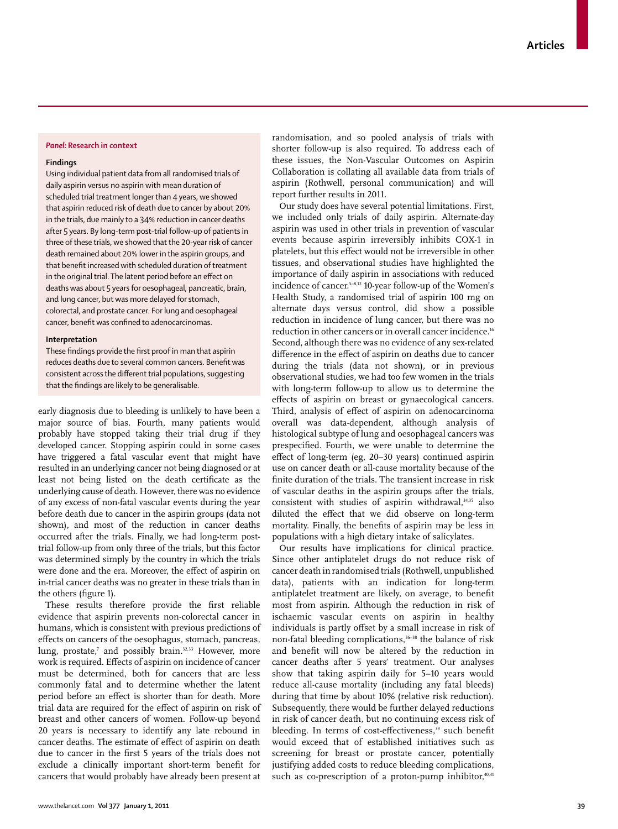#### *Panel:* **Research in context**

#### **Findings**

Using individual patient data from all randomised trials of daily aspirin versus no aspirin with mean duration of scheduled trial treatment longer than 4 years, we showed that aspirin reduced risk of death due to cancer by about 20% in the trials, due mainly to a 34% reduction in cancer deaths after 5 years. By long-term post-trial follow-up of patients in three of these trials, we showed that the 20-year risk of cancer death remained about 20% lower in the aspirin groups, and that benefit increased with scheduled duration of treatment in the original trial. The latent period before an effect on deaths was about 5 years for oesophageal, pancreatic, brain, and lung cancer, but was more delayed for stomach, colorectal, and prostate cancer. For lung and oesophageal cancer, benefit was confined to adenocarcinomas.

#### **Interpretation**

These findings provide the first proof in man that aspirin reduces deaths due to several common cancers. Benefit was consistent across the different trial populations, suggesting that the findings are likely to be generalisable.

early diagnosis due to bleeding is unlikely to have been a major source of bias. Fourth, many patients would probably have stopped taking their trial drug if they developed cancer. Stopping aspirin could in some cases have triggered a fatal vascular event that might have resulted in an underlying cancer not being diagnosed or at least not being listed on the death certificate as the underlying cause of death. However, there was no evidence of any excess of non-fatal vascular events during the year before death due to cancer in the aspirin groups (data not shown), and most of the reduction in cancer deaths occurred after the trials. Finally, we had long-term posttrial follow-up from only three of the trials, but this factor was determined simply by the country in which the trials were done and the era. Moreover, the effect of aspirin on in-trial cancer deaths was no greater in these trials than in the others (figure 1).

These results therefore provide the first reliable evidence that aspirin prevents non-colorectal cancer in humans, which is consistent with previous predictions of effects on cancers of the oesophagus, stomach, pancreas, lung, prostate,<sup>7</sup> and possibly brain.<sup>32,33</sup> However, more work is required. Effects of aspirin on incidence of cancer must be determined, both for cancers that are less commonly fatal and to determine whether the latent period before an effect is shorter than for death. More trial data are required for the effect of aspirin on risk of breast and other cancers of women. Follow-up beyond 20 years is necessary to identify any late rebound in cancer deaths. The estimate of effect of aspirin on death due to cancer in the first 5 years of the trials does not exclude a clinically important short-term benefit for cancers that would probably have already been present at

randomisation, and so pooled analysis of trials with shorter follow-up is also required. To address each of these issues, the Non-Vascular Outcomes on Aspirin Collaboration is collating all available data from trials of aspirin (Rothwell, personal communication) and will report further results in 2011.

Our study does have several potential limitations. First, we included only trials of daily aspirin. Alternate-day aspirin was used in other trials in prevention of vascular events because aspirin irreversibly inhibits COX-1 in platelets, but this effect would not be irreversible in other tissues, and observational studies have highlighted the importance of daily aspirin in associations with reduced incidence of cancer.5–8,12 10-year follow-up of the Women's Health Study, a randomised trial of aspirin 100 mg on alternate days versus control, did show a possible reduction in incidence of lung cancer, but there was no reduction in other cancers or in overall cancer incidence.16 Second, although there was no evidence of any sex-related difference in the effect of aspirin on deaths due to cancer during the trials (data not shown), or in previous observational studies, we had too few women in the trials with long-term follow-up to allow us to determine the effects of aspirin on breast or gynaecological cancers. Third, analysis of effect of aspirin on adenocarcinoma overall was data-dependent, although analysis of histological subtype of lung and oesophageal cancers was prespecified. Fourth, we were unable to determine the effect of long-term (eg, 20–30 years) continued aspirin use on cancer death or all-cause mortality because of the finite duration of the trials. The transient increase in risk of vascular deaths in the aspirin groups after the trials, consistent with studies of aspirin withdrawal,<sup>34,35</sup> also diluted the effect that we did observe on long-term mortality. Finally, the benefits of aspirin may be less in populations with a high dietary intake of salicylates.

Our results have implications for clinical practice. Since other antiplatelet drugs do not reduce risk of cancer death in randomised trials (Rothwell, unpublished data), patients with an indication for long-term antiplatelet treatment are likely, on average, to benefit most from aspirin. Although the reduction in risk of ischaemic vascular events on aspirin in healthy individuals is partly offset by a small increase in risk of non-fatal bleeding complications,<sup>36-38</sup> the balance of risk and benefit will now be altered by the reduction in cancer deaths after 5 years' treatment. Our analyses show that taking aspirin daily for 5–10 years would reduce all-cause mortality (including any fatal bleeds) during that time by about 10% (relative risk reduction). Subsequently, there would be further delayed reductions in risk of cancer death, but no continuing excess risk of bleeding. In terms of cost-effectiveness,<sup>39</sup> such benefit would exceed that of established initiatives such as screening for breast or prostate cancer, potentially justifying added costs to reduce bleeding complications, such as co-prescription of a proton-pump inhibitor, $40,41$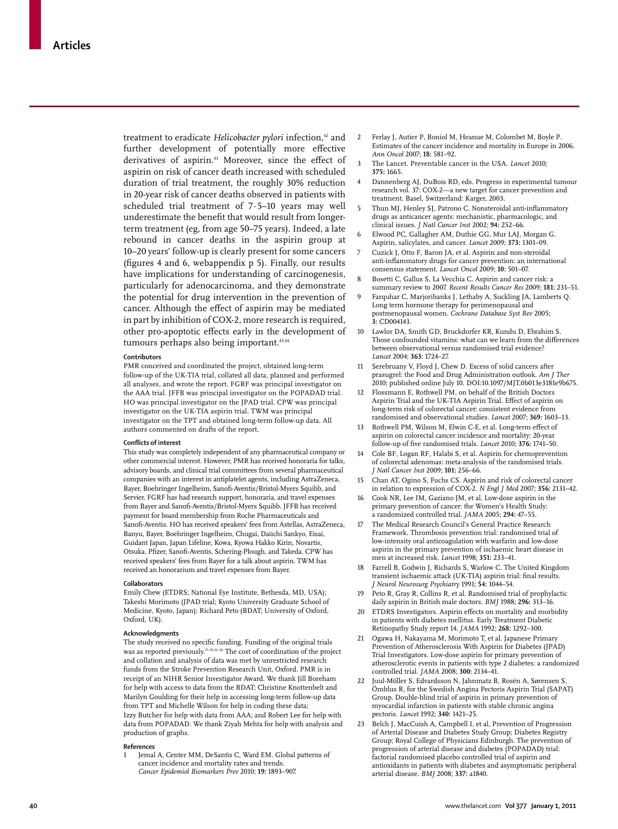treatment to eradicate *Helicobacter pylori* infection,<sup>42</sup> and further development of potentially more effective derivatives of aspirin.<sup>43</sup> Moreover, since the effect of aspirin on risk of cancer death increased with scheduled duration of trial treatment, the roughly 30% reduction in 20-year risk of cancer deaths observed in patients with scheduled trial treatment of 7·5–10 years may well underestimate the benefit that would result from longerterm treatment (eg, from age 50–75 years). Indeed, a late rebound in cancer deaths in the aspirin group at 10–20 years' follow-up is clearly present for some cancers (figures 4 and 6, webappendix  $p$  5). Finally, our results have implications for understanding of carcinogenesis, particularly for adenocarcinoma, and they demonstrate the potential for drug intervention in the prevention of cancer. Although the effect of aspirin may be mediated in part by inhibition of COX-2, more research is required, other pro-apoptotic effects early in the development of tumours perhaps also being important.<sup>43,44</sup>

#### **Contributors**

PMR conceived and coordinated the project, obtained long-term follow-up of the UK-TIA trial, collated all data, planned and performed all analyses, and wrote the report. FGRF was principal investigator on the AAA trial. JFFB was principal investigator on the POPADAD trial. HO was principal investigator on the JPAD trial. CPW was principal investigator on the UK-TIA aspirin trial. TWM was principal investigator on the TPT and obtained long-term follow-up data. All authors commented on drafts of the report.

#### **Confl icts of interest**

This study was completely independent of any pharmaceutical company or other commercial interest. However, PMR has received honoraria for talks, advisory boards, and clinical trial committees from several pharmaceutical companies with an interest in antiplatelet agents, including AstraZeneca, Bayer, Boehringer Ingelheim, Sanofi -Aventis/Bristol-Myers Squibb, and Servier. FGRF has had research support, honoraria, and travel expenses from Bayer and Sanofi -Aventis/Bristol-Myers Squibb. JFFB has received payment for board membership from Roche Pharmaceuticals and Sanofi -Aventis. HO has received speakers' fees from Astellas, AstraZeneca, Banyu, Bayer, Boehringer Ingelheim, Chugai, Daiichi Sankyo, Eisai, Guidant Japan, Japan Lifeline, Kowa, Kyowa Hakko Kirin, Novartis, Otsuka, Pfizer, Sanofi-Aventis, Schering-Plough, and Takeda. CPW has received speakers' fees from Bayer for a talk about aspirin. TWM has received an honorarium and travel expenses from Bayer.

#### **Collaborators**

Emily Chew (ETDRS; National Eye Institute, Bethesda, MD, USA); Takeshi Morimoto (JPAD trial; Kyoto University Graduate School of Medicine, Kyoto, Japan); Richard Peto (BDAT; University of Oxford, Oxford, UK).

#### **Acknowledgments**

The study received no specific funding. Funding of the original trials was as reported previously.<sup>17-19,22-26</sup> The cost of coordination of the project and collation and analysis of data was met by unrestricted research funds from the Stroke Prevention Research Unit, Oxford. PMR is in receipt of an NIHR Senior Investigator Award. We thank Jill Boreham for help with access to data from the BDAT; Christine Knottenbelt and Marilyn Goulding for their help in accessing long-term follow-up data from TPT and Michelle Wilson for help in coding these data; Izzy Butcher for help with data from AAA; and Robert Lee for help with data from POPADAD. We thank Ziyah Mehta for help with analysis and production of graphs.

#### **References**

Jemal A, Center MM, DeSantis C, Ward EM. Global patterns of cancer incidence and mortality rates and trends. *Cancer Epidemiol Biomarkers Prev* 2010; **19:** 1893–907.

- 2 Ferlay J, Autier P, Boniol M, Heanue M, Colombet M, Boyle P. Estimates of the cancer incidence and mortality in Europe in 2006. *Ann Oncol* 2007; **18:** 581–92.
- 3 The Lancet. Preventable cancer in the USA. *Lancet* 2010; **375:** 1665.
- Dannenberg AJ, DuBois RD, eds. Progress in experimental tumour research vol. 37: COX-2—a new target for cancer prevention and treatment. Basel, Switzerland: Karger, 2003.
- Thun MJ, Henley SJ, Patrono C. Nonsteroidal anti-inflammatory drugs as anticancer agents: mechanistic, pharmacologic, and clinical issues. *J Natl Cancer Inst* 2002; **94:** 252–66.
- Elwood PC, Gallagher AM, Duthie GG, Mur LAJ, Morgan G. Aspirin, salicylates, and cancer. *Lancet* 2009; **373:** 1301–09.
- 7 Cuzick J, Otto F, Baron JA, et al. Aspirin and non-steroidal anti-infl ammatory drugs for cancer prevention: an international consensus statement. *Lancet Oncol* 2009; **10:** 501–07.
- 8 Bosetti C, Gallus S, La Vecchia C. Aspirin and cancer risk: a summary review to 2007. *Recent Results Cancer Res* 2009; **181:** 231–51.
- 9 Farquhar C, Marjoribanks J, Lethaby A, Suckling JA, Lamberts Q. Long term hormone therapy for perimenopausal and postmenopausal women. *Cochrane Database Syst Rev* 2005; **3:** CD004143.
- 10 Lawlor DA, Smith GD, Bruckdorfer KR, Kundu D, Ebrahim S. Those confounded vitamins: what can we learn from the differences between observational versus randomised trial evidence? *Lancet* 2004; **363:** 1724–27.
- 11 Serebruany V, Floyd J, Chew D. Excess of solid cancers after prasugrel: the Food and Drug Administration outlook. *Am J Ther* 2010; published online July 10. DOI:10.1097/MJT.0b013e3181e9b675.
- 12 Flossmann E, Rothwell PM, on behalf of the British Doctors Aspirin Trial and the UK-TIA Aspirin Trial. Effect of aspirin on long-term risk of colorectal cancer: consistent evidence from randomised and observational studies. *Lancet* 2007; **369:** 1603–13.
- 13 Rothwell PM, Wilson M, Elwin C-E, et al. Long-term effect of aspirin on colorectal cancer incidence and mortality: 20-year follow-up of five randomised trials. *Lancet* 2010; 376: 1741-50.
- 14 Cole BF, Logan RF, Halabi S, et al. Aspirin for chemoprevention of colorectal adenomas: meta-analysis of the randomised trials. *J Natl Cancer Inst* 2009; **101:** 256–66.
- 15 Chan AT, Ogino S, Fuchs CS. Aspirin and risk of colorectal cancer in relation to expression of COX-2. *N Engl J Med* 2007; **356:** 2131–42.
- 16 Cook NR, Lee IM, Gaziano JM, et al. Low-dose aspirin in the primary prevention of cancer: the Women's Health Study: a randomized controlled trial. *JAMA* 2005; **294:** 47–55.
- 17 The Medical Research Council's General Practice Research Framework. Thrombosis prevention trial: randomised trial of low-intensity oral anticoagulation with warfarin and low-dose aspirin in the primary prevention of ischaemic heart disease in men at increased risk. *Lancet* 1998; **351:** 233–41.
- 18 Farrell B, Godwin J, Richards S, Warlow C. The United Kingdom transient ischaemic attack (UK-TIA) aspirin trial: final results. *J Neurol Neurosurg Psychiatry* 1991; **54:** 1044–54.
- Peto R, Gray R, Collins R, et al. Randomised trial of prophylactic daily aspirin in British male doctors. *BMJ* 1988; **296:** 313–16.
- 20 ETDRS Investigators. Aspirin effects on mortality and morbidity in patients with diabetes mellitus. Early Treatment Diabetic Retinopathy Study report 14. *JAMA* 1992; **268:** 1292–300.
- 21 Ogawa H, Nakayama M, Morimoto T, et al. Japanese Primary Prevention of Atherosclerosis With Aspirin for Diabetes (JPAD) Trial Investigators. Low-dose aspirin for primary prevention of atherosclerotic events in patients with type 2 diabetes: a randomized controlled trial. *JAMA* 2008; **300:** 2134–41.
- 22 Juul-Möller S, Edvardsson N, Jahnmatz B, Rosén A, Sørensen S, Ömblus R, for the Swedish Angina Pectoris Aspirin Trial (SAPAT) Group. Double-blind trial of aspirin in primary prevention of myocardial infarction in patients with stable chronic angina pectoris. *Lancet* 1992; **340:** 1421–25.
- Belch J, MacCuish A, Campbell I, et al, Prevention of Progression of Arterial Disease and Diabetes Study Group; Diabetes Registry Group; Royal College of Physicians Edinburgh. The prevention of progression of arterial disease and diabetes (POPADAD) trial: factorial randomised placebo controlled trial of aspirin and antioxidants in patients with diabetes and asymptomatic peripheral arterial disease. *BMJ* 2008; **337:** a1840.